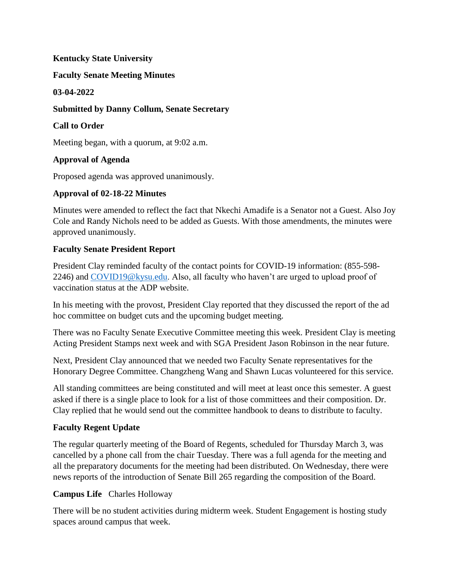# **Kentucky State University**

## **Faculty Senate Meeting Minutes**

## **03-04-2022**

# **Submitted by Danny Collum, Senate Secretary**

# **Call to Order**

Meeting began, with a quorum, at 9:02 a.m.

# **Approval of Agenda**

Proposed agenda was approved unanimously.

## **Approval of 02-18-22 Minutes**

Minutes were amended to reflect the fact that Nkechi Amadife is a Senator not a Guest. Also Joy Cole and Randy Nichols need to be added as Guests. With those amendments, the minutes were approved unanimously.

# **Faculty Senate President Report**

President Clay reminded faculty of the contact points for COVID-19 information: (855-598- 2246) and [COVID19@kysu.edu.](mailto:covid19@kysu.edu) Also, all faculty who haven't are urged to upload proof of vaccination status at the ADP website.

In his meeting with the provost, President Clay reported that they discussed the report of the ad hoc committee on budget cuts and the upcoming budget meeting.

There was no Faculty Senate Executive Committee meeting this week. President Clay is meeting Acting President Stamps next week and with SGA President Jason Robinson in the near future.

Next, President Clay announced that we needed two Faculty Senate representatives for the Honorary Degree Committee. Changzheng Wang and Shawn Lucas volunteered for this service.

All standing committees are being constituted and will meet at least once this semester. A guest asked if there is a single place to look for a list of those committees and their composition. Dr. Clay replied that he would send out the committee handbook to deans to distribute to faculty.

# **Faculty Regent Update**

The regular quarterly meeting of the Board of Regents, scheduled for Thursday March 3, was cancelled by a phone call from the chair Tuesday. There was a full agenda for the meeting and all the preparatory documents for the meeting had been distributed. On Wednesday, there were news reports of the introduction of Senate Bill 265 regarding the composition of the Board.

# **Campus Life** Charles Holloway

There will be no student activities during midterm week. Student Engagement is hosting study spaces around campus that week.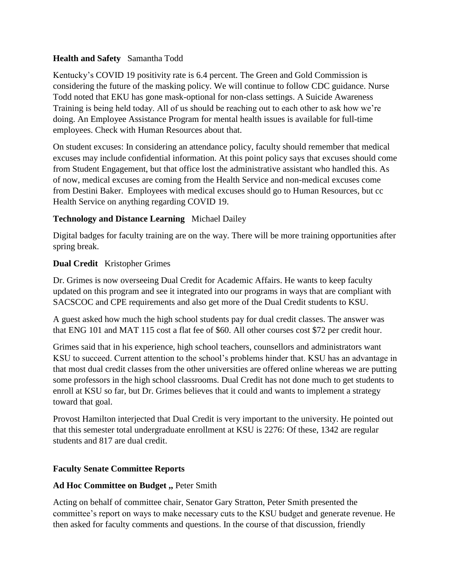# **Health and Safety** Samantha Todd

Kentucky's COVID 19 positivity rate is 6.4 percent. The Green and Gold Commission is considering the future of the masking policy. We will continue to follow CDC guidance. Nurse Todd noted that EKU has gone mask-optional for non-class settings. A Suicide Awareness Training is being held today. All of us should be reaching out to each other to ask how we're doing. An Employee Assistance Program for mental health issues is available for full-time employees. Check with Human Resources about that.

On student excuses: In considering an attendance policy, faculty should remember that medical excuses may include confidential information. At this point policy says that excuses should come from Student Engagement, but that office lost the administrative assistant who handled this. As of now, medical excuses are coming from the Health Service and non-medical excuses come from Destini Baker. Employees with medical excuses should go to Human Resources, but cc Health Service on anything regarding COVID 19.

# **Technology and Distance Learning** Michael Dailey

Digital badges for faculty training are on the way. There will be more training opportunities after spring break.

# **Dual Credit** Kristopher Grimes

Dr. Grimes is now overseeing Dual Credit for Academic Affairs. He wants to keep faculty updated on this program and see it integrated into our programs in ways that are compliant with SACSCOC and CPE requirements and also get more of the Dual Credit students to KSU.

A guest asked how much the high school students pay for dual credit classes. The answer was that ENG 101 and MAT 115 cost a flat fee of \$60. All other courses cost \$72 per credit hour.

Grimes said that in his experience, high school teachers, counsellors and administrators want KSU to succeed. Current attention to the school's problems hinder that. KSU has an advantage in that most dual credit classes from the other universities are offered online whereas we are putting some professors in the high school classrooms. Dual Credit has not done much to get students to enroll at KSU so far, but Dr. Grimes believes that it could and wants to implement a strategy toward that goal.

Provost Hamilton interjected that Dual Credit is very important to the university. He pointed out that this semester total undergraduate enrollment at KSU is 2276: Of these, 1342 are regular students and 817 are dual credit.

# **Faculty Senate Committee Reports**

# **Ad Hoc Committee on Budget ,,** Peter Smith

Acting on behalf of committee chair, Senator Gary Stratton, Peter Smith presented the committee's report on ways to make necessary cuts to the KSU budget and generate revenue. He then asked for faculty comments and questions. In the course of that discussion, friendly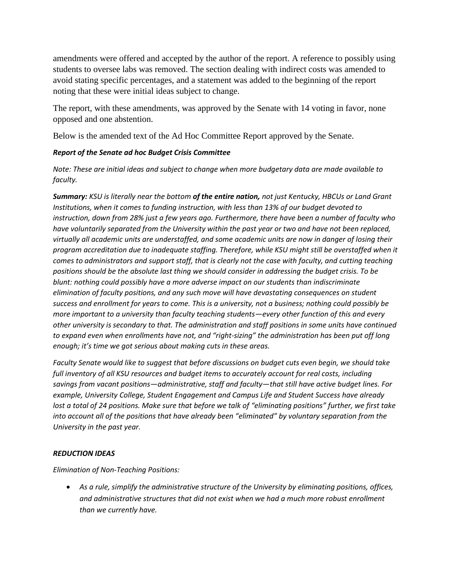amendments were offered and accepted by the author of the report. A reference to possibly using students to oversee labs was removed. The section dealing with indirect costs was amended to avoid stating specific percentages, and a statement was added to the beginning of the report noting that these were initial ideas subject to change.

The report, with these amendments, was approved by the Senate with 14 voting in favor, none opposed and one abstention.

Below is the amended text of the Ad Hoc Committee Report approved by the Senate.

#### *Report of the Senate ad hoc Budget Crisis Committee*

*Note: These are initial ideas and subject to change when more budgetary data are made available to faculty.*

*Summary: KSU is literally near the bottom of the entire nation, not just Kentucky, HBCUs or Land Grant Institutions, when it comes to funding instruction, with less than 13% of our budget devoted to instruction, down from 28% just a few years ago. Furthermore, there have been a number of faculty who have voluntarily separated from the University within the past year or two and have not been replaced, virtually all academic units are understaffed, and some academic units are now in danger of losing their program accreditation due to inadequate staffing. Therefore, while KSU might still be overstaffed when it comes to administrators and support staff, that is clearly not the case with faculty, and cutting teaching positions should be the absolute last thing we should consider in addressing the budget crisis. To be blunt: nothing could possibly have a more adverse impact on our students than indiscriminate elimination of faculty positions, and any such move will have devastating consequences on student success and enrollment for years to come. This is a university, not a business; nothing could possibly be more important to a university than faculty teaching students—every other function of this and every other university is secondary to that. The administration and staff positions in some units have continued to expand even when enrollments have not, and "right-sizing" the administration has been put off long enough; it's time we got serious about making cuts in these areas.*

*Faculty Senate would like to suggest that before discussions on budget cuts even begin, we should take full inventory of all KSU resources and budget items to accurately account for real costs, including savings from vacant positions—administrative, staff and faculty—that still have active budget lines. For example, University College, Student Engagement and Campus Life and Student Success have already lost a total of 24 positions. Make sure that before we talk of "eliminating positions" further, we first take into account all of the positions that have already been "eliminated" by voluntary separation from the University in the past year.*

#### *REDUCTION IDEAS*

*Elimination of Non-Teaching Positions:*

 *As a rule, simplify the administrative structure of the University by eliminating positions, offices, and administrative structures that did not exist when we had a much more robust enrollment than we currently have.*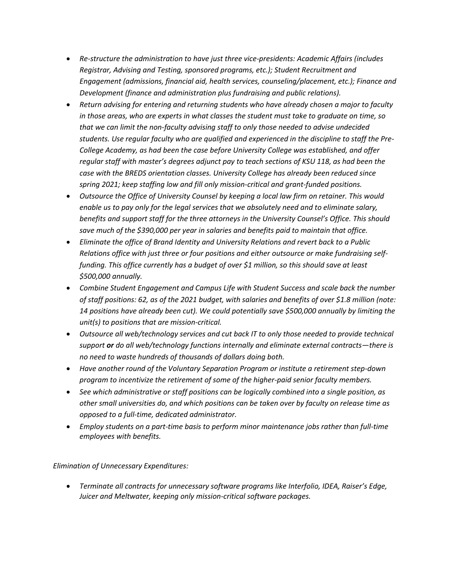- *Re-structure the administration to have just three vice-presidents: Academic Affairs (includes Registrar, Advising and Testing, sponsored programs, etc.); Student Recruitment and Engagement (admissions, financial aid, health services, counseling/placement, etc.); Finance and Development (finance and administration plus fundraising and public relations).*
- *Return advising for entering and returning students who have already chosen a major to faculty in those areas, who are experts in what classes the student must take to graduate on time, so that we can limit the non-faculty advising staff to only those needed to advise undecided students. Use regular faculty who are qualified and experienced in the discipline to staff the Pre-College Academy, as had been the case before University College was established, and offer regular staff with master's degrees adjunct pay to teach sections of KSU 118, as had been the case with the BREDS orientation classes. University College has already been reduced since spring 2021; keep staffing low and fill only mission-critical and grant-funded positions.*
- *Outsource the Office of University Counsel by keeping a local law firm on retainer. This would enable us to pay only for the legal services that we absolutely need and to eliminate salary, benefits and support staff for the three attorneys in the University Counsel's Office. This should save much of the \$390,000 per year in salaries and benefits paid to maintain that office.*
- *Eliminate the office of Brand Identity and University Relations and revert back to a Public Relations office with just three or four positions and either outsource or make fundraising selffunding. This office currently has a budget of over \$1 million, so this should save at least \$500,000 annually.*
- *Combine Student Engagement and Campus Life with Student Success and scale back the number of staff positions: 62, as of the 2021 budget, with salaries and benefits of over \$1.8 million (note: 14 positions have already been cut). We could potentially save \$500,000 annually by limiting the unit(s) to positions that are mission-critical.*
- *Outsource all web/technology services and cut back IT to only those needed to provide technical support or do all web/technology functions internally and eliminate external contracts—there is no need to waste hundreds of thousands of dollars doing both.*
- *Have another round of the Voluntary Separation Program or institute a retirement step-down program to incentivize the retirement of some of the higher-paid senior faculty members.*
- *See which administrative or staff positions can be logically combined into a single position, as other small universities do, and which positions can be taken over by faculty on release time as opposed to a full-time, dedicated administrator.*
- *Employ students on a part-time basis to perform minor maintenance jobs rather than full-time employees with benefits.*

#### *Elimination of Unnecessary Expenditures:*

 *Terminate all contracts for unnecessary software programs like Interfolio, IDEA, Raiser's Edge, Juicer and Meltwater, keeping only mission-critical software packages.*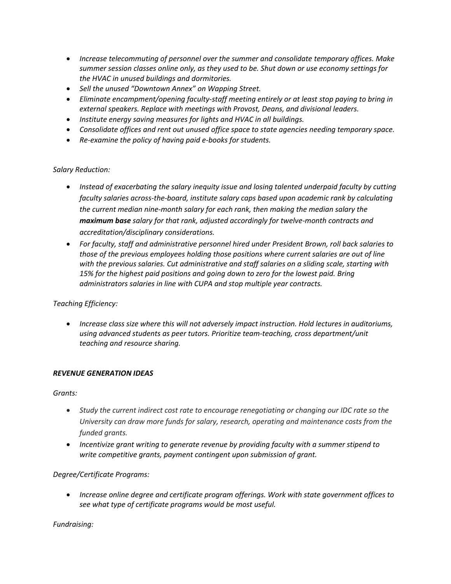- *Increase telecommuting of personnel over the summer and consolidate temporary offices. Make summer session classes online only, as they used to be. Shut down or use economy settings for the HVAC in unused buildings and dormitories.*
- *Sell the unused "Downtown Annex" on Wapping Street.*
- *Eliminate encampment/opening faculty-staff meeting entirely or at least stop paying to bring in external speakers. Replace with meetings with Provost, Deans, and divisional leaders.*
- *Institute energy saving measures for lights and HVAC in all buildings.*
- *Consolidate offices and rent out unused office space to state agencies needing temporary space.*
- *Re-examine the policy of having paid e-books for students.*

#### *Salary Reduction:*

- *Instead of exacerbating the salary inequity issue and losing talented underpaid faculty by cutting faculty salaries across-the-board, institute salary caps based upon academic rank by calculating the current median nine-month salary for each rank, then making the median salary the maximum base salary for that rank, adjusted accordingly for twelve-month contracts and accreditation/disciplinary considerations.*
- *For faculty, staff and administrative personnel hired under President Brown, roll back salaries to those of the previous employees holding those positions where current salaries are out of line with the previous salaries. Cut administrative and staff salaries on a sliding scale, starting with 15% for the highest paid positions and going down to zero for the lowest paid. Bring administrators salaries in line with CUPA and stop multiple year contracts.*

*Teaching Efficiency:*

 *Increase class size where this will not adversely impact instruction. Hold lectures in auditoriums, using advanced students as peer tutors. Prioritize team-teaching, cross department/unit teaching and resource sharing.*

#### *REVENUE GENERATION IDEAS*

*Grants:*

- *Study the current indirect cost rate to encourage renegotiating or changing our IDC rate so the University can draw more funds for salary, research, operating and maintenance costs from the funded grants.*
- *Incentivize grant writing to generate revenue by providing faculty with a summer stipend to write competitive grants, payment contingent upon submission of grant.*

*Degree/Certificate Programs:*

 *Increase online degree and certificate program offerings. Work with state government offices to see what type of certificate programs would be most useful.*

*Fundraising:*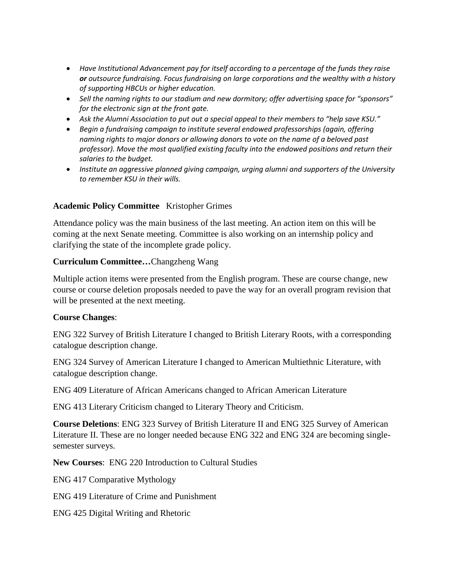- *Have Institutional Advancement pay for itself according to a percentage of the funds they raise or outsource fundraising. Focus fundraising on large corporations and the wealthy with a history of supporting HBCUs or higher education.*
- *Sell the naming rights to our stadium and new dormitory; offer advertising space for "sponsors" for the electronic sign at the front gate.*
- *Ask the Alumni Association to put out a special appeal to their members to "help save KSU."*
- *Begin a fundraising campaign to institute several endowed professorships (again, offering naming rights to major donors or allowing donors to vote on the name of a beloved past professor). Move the most qualified existing faculty into the endowed positions and return their salaries to the budget.*
- *Institute an aggressive planned giving campaign, urging alumni and supporters of the University to remember KSU in their wills.*

# **Academic Policy Committee** Kristopher Grimes

Attendance policy was the main business of the last meeting. An action item on this will be coming at the next Senate meeting. Committee is also working on an internship policy and clarifying the state of the incomplete grade policy.

## **Curriculum Committee…**Changzheng Wang

Multiple action items were presented from the English program. These are course change, new course or course deletion proposals needed to pave the way for an overall program revision that will be presented at the next meeting.

#### **Course Changes**:

ENG 322 Survey of British Literature I changed to British Literary Roots, with a corresponding catalogue description change.

ENG 324 Survey of American Literature I changed to American Multiethnic Literature, with catalogue description change.

ENG 409 Literature of African Americans changed to African American Literature

ENG 413 Literary Criticism changed to Literary Theory and Criticism.

**Course Deletions**: ENG 323 Survey of British Literature II and ENG 325 Survey of American Literature II. These are no longer needed because ENG 322 and ENG 324 are becoming singlesemester surveys.

**New Courses**: ENG 220 Introduction to Cultural Studies

ENG 417 Comparative Mythology

ENG 419 Literature of Crime and Punishment

ENG 425 Digital Writing and Rhetoric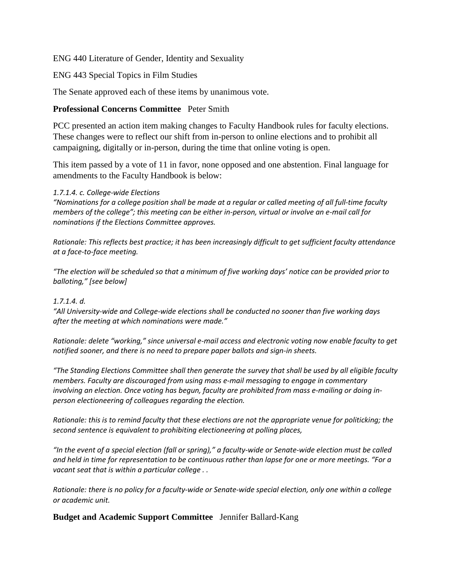## ENG 440 Literature of Gender, Identity and Sexuality

### ENG 443 Special Topics in Film Studies

The Senate approved each of these items by unanimous vote.

# **Professional Concerns Committee** Peter Smith

PCC presented an action item making changes to Faculty Handbook rules for faculty elections. These changes were to reflect our shift from in-person to online elections and to prohibit all campaigning, digitally or in-person, during the time that online voting is open.

This item passed by a vote of 11 in favor, none opposed and one abstention. Final language for amendments to the Faculty Handbook is below:

#### *1.7.1.4. c. College-wide Elections*

*"Nominations for a college position shall be made at a regular or called meeting of all full-time faculty members of the college"; this meeting can be either in-person, virtual or involve an e-mail call for nominations if the Elections Committee approves.*

*Rationale: This reflects best practice; it has been increasingly difficult to get sufficient faculty attendance at a face-to-face meeting.*

*"The election will be scheduled so that a minimum of five working days' notice can be provided prior to balloting," [see below]*

#### *1.7.1.4. d.*

*"All University-wide and College-wide elections shall be conducted no sooner than five working days after the meeting at which nominations were made."*

*Rationale: delete "working," since universal e-mail access and electronic voting now enable faculty to get notified sooner, and there is no need to prepare paper ballots and sign-in sheets.*

*"The Standing Elections Committee shall then generate the survey that shall be used by all eligible faculty members. Faculty are discouraged from using mass e-mail messaging to engage in commentary involving an election. Once voting has begun, faculty are prohibited from mass e-mailing or doing inperson electioneering of colleagues regarding the election.*

*Rationale: this is to remind faculty that these elections are not the appropriate venue for politicking; the second sentence is equivalent to prohibiting electioneering at polling places,*

*"In the event of a special election (fall or spring)," a faculty-wide or Senate-wide election must be called and held in time for representation to be continuous rather than lapse for one or more meetings. "For a vacant seat that is within a particular college . .*

*Rationale: there is no policy for a faculty-wide or Senate-wide special election, only one within a college or academic unit.*

**Budget and Academic Support Committee** Jennifer Ballard-Kang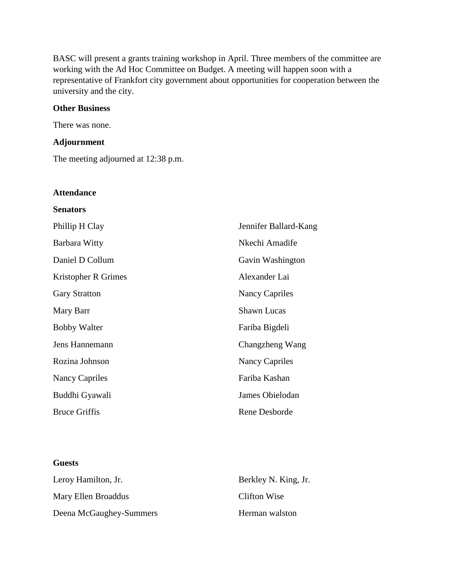BASC will present a grants training workshop in April. Three members of the committee are working with the Ad Hoc Committee on Budget. A meeting will happen soon with a representative of Frankfort city government about opportunities for cooperation between the university and the city.

## **Other Business**

There was none.

## **Adjournment**

**Attendance**

The meeting adjourned at 12:38 p.m.

| <b>Senators</b>       |                       |
|-----------------------|-----------------------|
| Phillip H Clay        | Jennifer Ballard-Kang |
| Barbara Witty         | Nkechi Amadife        |
| Daniel D Collum       | Gavin Washington      |
| Kristopher R Grimes   | Alexander Lai         |
| <b>Gary Stratton</b>  | Nancy Capriles        |
| Mary Barr             | <b>Shawn Lucas</b>    |
| <b>Bobby Walter</b>   | Fariba Bigdeli        |
| Jens Hannemann        | Changzheng Wang       |
| Rozina Johnson        | <b>Nancy Capriles</b> |
| <b>Nancy Capriles</b> | Fariba Kashan         |
| Buddhi Gyawali        | James Obielodan       |
| <b>Bruce Griffis</b>  | Rene Desborde         |
|                       |                       |

#### **Guests**

| Leroy Hamilton, Jr.     | Berkley N. King, Jr. |
|-------------------------|----------------------|
| Mary Ellen Broaddus     | Clifton Wise         |
| Deena McGaughey-Summers | Herman walston       |